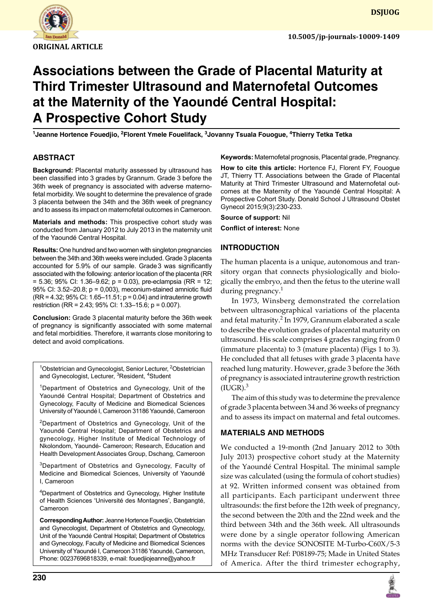

# **Associations between the Grade of Placental Maturity at Third Trimester Ultrasound and Maternofetal Outcomes at the Maternity of the Yaoundé Central Hospital: A Prospective Cohort Study**

<sup>1</sup>Jeanne Hortence Fouedjio, <sup>2</sup>Florent Ymele Fouelifack, <sup>3</sup>Jovanny Tsuala Fouogue, <sup>4</sup>Thierry Tetka Tetka

#### **ABSTRACT**

**Background:** Placental maturity assessed by ultrasound has been classified into 3 grades by Grannum. Grade 3 before the 36th week of pregnancy is associated with adverse maternofetal morbidity. We sought to determine the prevalence of grade 3 placenta between the 34th and the 36th week of pregnancy and to assess its impact on maternofetal outcomes in Cameroon.

**Materials and methods:** This prospective cohort study was conducted from January 2012 to July 2013 in the maternity unit of the Yaoundé Central Hospital.

**Results:** One hundred and two women with singleton pregnancies between the 34th and 36th weeks were included. Grade 3 placenta accounted for 5.9% of our sample. Grade3 was significantly associated with the following: anterior location of the placenta (RR = 5.36; 95% CI: 1.36–9.62; p = 0.03), pre-eclampsia (RR = 12; 95% CI: 3.52–20.8; p = 0,003), meconium-stained amniotic fluid  $(RR = 4.32; 95\% CI: 1.65–11.51; p = 0.04)$  and intrauterine growth restriction (RR = 2.43; 95% CI: 1.33–15.6; p = 0.007).

**Conclusion:** Grade 3 placental maturity before the 36th week of pregnancy is significantly associated with some maternal and fetal morbidities. Therefore, it warrants close monitoring to detect and avoid complications.

<sup>1</sup>Obstetrician and Gynecologist, Senior Lecturer, <sup>2</sup>Obstetrician and Gynecologist, Lecturer, <sup>3</sup>Resident, <sup>4</sup>Student

<sup>1</sup>Department of Obstetrics and Gynecology, Unit of the Yaoundé Central Hospital; Department of Obstetrics and Gynecology, Faculty of Medicine and Biomedical Sciences University of Yaoundé I, Cameroon 31186 Yaoundé, Cameroon

2Department of Obstetrics and Gynecology, Unit of the Yaoundé Central Hospital; Department of Obstetrics and gynecology, Higher Institute of Medical Technology of Nkolondom, Yaoundé- Cameroon; Research, Education and Health Development Associates Group, Dschang, Cameroon

3Department of Obstetrics and Gynecology, Faculty of Medicine and Biomedical Sciences, University of Yaoundé I, Cameroon

4 Department of Obstetrics and Gynecology, Higher Institute of Health Sciences 'Université des Montagnes', Bangangté, Cameroon

**Corresponding Author:** Jeanne Hortence Fouedjio, Obstetrician and Gynecologist, Department of Obstetrics and Gynecology, Unit of the Yaoundé Central Hospital; Department of Obstetrics and Gynecology, Faculty of Medicine and Biomedical Sciences University of Yaoundé I, Cameroon 31186 Yaoundé, Cameroon, Phone: 00237696818339, e-mail: fouedjiojeanne@yahoo.fr

**230**

**Keywords:** Maternofetal prognosis, Placental grade, Pregnancy.

**How to cite this article:** Hortence FJ, Florent FY, Fouogue JT, Thierry TT. Associations between the Grade of Placental Maturity at Third Trimester Ultrasound and Maternofetal outcomes at the Maternity of the Yaoundé Central Hospital: A Prospective Cohort Study. Donald School J Ultrasound Obstet Gynecol 2015;9(3):230-233.

**Source of support:** Nil

**Conflict of interest:** None

#### **Introduction**

The human placenta is a unique, autonomous and transitory organ that connects physiologically and biologically the embryo, and then the fetus to the uterine wall during pregnancy. $<sup>1</sup>$ </sup>

In 1973, Winsberg demonstrated the correlation between ultrasonographical variations of the placenta and fetal maturity. $^2$  In 1979, Grannum elaborated a scale to describe the evolution grades of placental maturity on ultrasound. His scale comprises 4 grades ranging from 0 (immature placenta) to 3 (mature placenta) (Figs 1 to 3). He concluded that all fetuses with grade 3 placenta have reached lung maturity. However, grade 3 before the 36th of pregnancy is associated intrauterine growth restriction  $(IUGR).<sup>3</sup>$ 

The aim of this study was to determine the prevalence of grade 3 placenta between 34 and 36 weeks of pregnancy and to assess its impact on maternal and fetal outcomes.

#### **Materials and Methods**

We conducted a 19-month (2nd January 2012 to 30th July 2013) prospective cohort study at the Maternity of the Yaoundé Central Hospital. The minimal sample size was calculated (using the formula of cohort studies) at 92. Written informed consent was obtained from all participants. Each participant underwent three ultrasounds: the first before the 12th week of pregnancy, the second between the 20th and the 22nd week and the third between 34th and the 36th week. All ultrasounds were done by a single operator following American norms with the device SONOSITE M-Turbo-C60X/5-3 MHz Transducer Ref: P08189-75; Made in United States of America. After the third trimester echography,

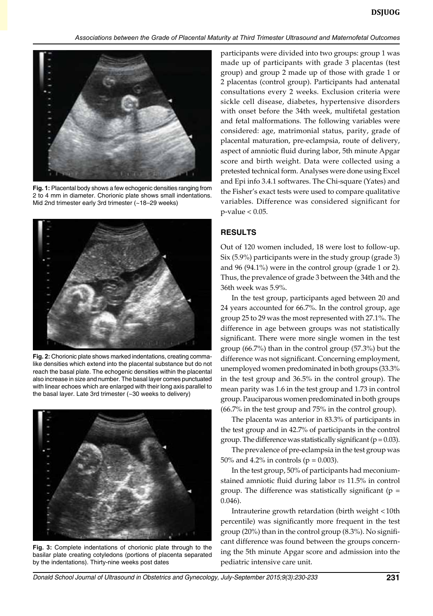

**Fig. 1:** Placental body shows a few echogenic densities ranging from 2 to 4 mm in diameter. Chorionic plate shows small indentations. Mid 2nd trimester early 3rd trimester (~18–29 weeks)



**Fig. 2:** Chorionic plate shows marked indentations, creating commalike densities which extend into the placental substance but do not reach the basal plate. The echogenic densities within the placental also increase in size and number. The basal layer comes punctuated with linear echoes which are enlarged with their long axis parallel to the basal layer. Late 3rd trimester (~30 weeks to delivery)



**Fig. 3:** Complete indentations of chorionic plate through to the basilar plate creating cotyledons (portions of placenta separated by the indentations). Thirty-nine weeks post dates

participants were divided into two groups: group 1 was made up of participants with grade 3 placentas (test group) and group 2 made up of those with grade 1 or 2 placentas (control group). Participants had antenatal consultations every 2 weeks. Exclusion criteria were sickle cell disease, diabetes, hypertensive disorders with onset before the 34th week, multifetal gestation and fetal malformations. The following variables were considered: age, matrimonial status, parity, grade of placental maturation, pre-eclampsia, route of delivery, aspect of amniotic fluid during labor, 5th minute Apgar score and birth weight. Data were collected using a pretested technical form. Analyses were done using Excel and Epi info 3.4.1 softwares. The Chi-square (Yates) and the Fisher's exact tests were used to compare qualitative variables. Difference was considered significant for p-value < 0.05.

#### **Results**

Out of 120 women included, 18 were lost to follow-up. Six (5.9%) participants were in the study group (grade 3) and 96 (94.1%) were in the control group (grade 1 or 2). Thus, the prevalence of grade 3 between the 34th and the 36th week was 5.9%.

In the test group, participants aged between 20 and 24 years accounted for 66.7%. In the control group, age group 25 to 29 was the most represented with 27.1%. The difference in age between groups was not statistically significant. There were more single women in the test group (66.7%) than in the control group (57.3%) but the difference was not significant. Concerning employment, unemployed women predominated in both groups (33.3% in the test group and 36.5% in the control group). The mean parity was 1.6 in the test group and 1.73 in control group. Pauciparous women predominated in both groups (66.7% in the test group and 75% in the control group).

The placenta was anterior in 83.3% of participants in the test group and in 42.7% of participants in the control group. The difference was statistically significant ( $p = 0.03$ ).

The prevalence of pre-eclampsia in the test group was 50% and 4.2% in controls ( $p = 0.003$ ).

In the test group, 50% of participants had meconiumstained amniotic fluid during labor *vs* 11.5% in control group. The difference was statistically significant ( $p =$ 0.046).

Intrauterine growth retardation (birth weight <10th percentile) was significantly more frequent in the test group (20%) than in the control group (8.3%). No significant difference was found between the groups concerning the 5th minute Apgar score and admission into the pediatric intensive care unit.

*Donald School Journal of Ultrasound in Obstetrics and Gynecology, July-September 2015;9(3):230-233* **231**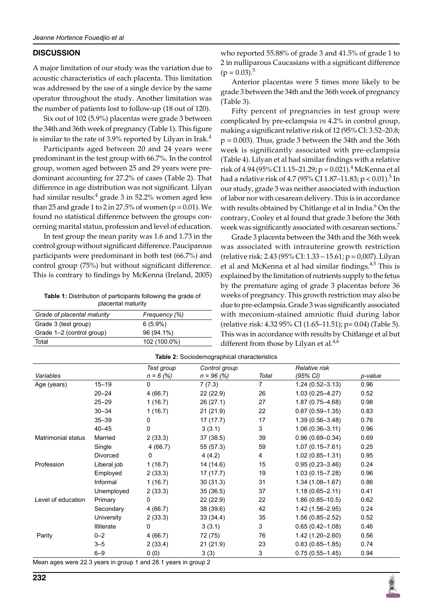#### **Discussion**

A major limitation of our study was the variation due to acoustic characteristics of each placenta. This limitation was addressed by the use of a single device by the same operator throughout the study. Another limitation was the number of patients lost to follow-up (18 out of 120).

Six out of 102 (5.9%) placentas were grade 3 between the 34th and 36th week of pregnancy (Table 1). This figure is similar to the rate of 3.9% reported by Lilyan in Irak. $4$ 

Participants aged between 20 and 24 years were predominant in the test group with 66.7%. In the control group, women aged between 25 and 29 years were predominant accounting for 27.2% of cases (Table 2). That difference in age distribution was not significant. Lilyan had similar results:<sup>4</sup> grade 3 in 52.2% women aged less than 25 and grade 1 to 2 in 27.5% of women (p = 0.01). We found no statistical difference between the groups concerning marital status, profession and level of education.

In test group the mean parity was 1.6 and 1.73 in the control group without significant difference. Pauciparous participants were predominant in both test (66.7%) and control group (75%) but without significant difference. This is contrary to findings by McKenna (Ireland, 2005)

**Table 1:** Distribution of participants following the grade of placental maturity

| Grade of placental maturity | Frequency (%) |
|-----------------------------|---------------|
| Grade 3 (test group)        | $6(5.9\%)$    |
| Grade 1–2 (control group)   | 96 (94.1%)    |
| Total                       | 102 (100.0%)  |

who reported 55.88% of grade 3 and 41.5% of grade 1 to 2 in nulliparous Caucasians with a significant difference  $(p = 0.03).$ <sup>5</sup>

Anterior placentas were 5 times more likely to be grade 3 between the 34th and the 36th week of pregnancy (Table 3).

Fifty percent of pregnancies in test group were complicated by pre-eclampsia *vs* 4.2% in control group, making a significant relative risk of 12 (95% CI: 3.52–20.8;  $p = 0.003$ ). Thus, grade 3 between the 34th and the 36th week is significantly associated with pre-eclampsia (Table 4). Lilyan et al had similar findings with a relative risk of 4.94 (95% CI 1.15–21.29; p = 0.021).<sup>4</sup> McKenna et al had a relative risk of 4.7 (95% CI 1.87–11.83; p < 0.01).<sup>5</sup> In our study, grade 3 was neither associated with induction of labor nor with cesarean delivery. This is in accordance with results obtained by Chitlange et al in India.<sup>6</sup> On the contrary, Cooley et al found that grade 3 before the 36th week was significantly associated with cesarean sections.<sup>7</sup>

Grade 3 placenta between the 34th and the 36th week was associated with intrauterine growth restriction (relative risk: 2.43 (95% CI: 1.33 – 15.61; p = 0,007). Lilyan et al and McKenna et al had similar findings.<sup>4,5</sup> This is explained by the limitation of nutrients supply to the fetus by the premature aging of grade 3 placentas before 36 weeks of pregnancy. This growth restriction may also be due to pre-eclampsia. Grade 3 was significantly associated with meconium-stained amniotic fluid during labor (relative risk: 4.32 95% CI (1.65–11.51); p= 0.04) (Table 5). This was in accordance with results by Chitlange et al but different from those by Lilyan et al. $4,6$ 

| Table 2: Sociodemographical characteristics |             |                           |                               |                |                           |         |
|---------------------------------------------|-------------|---------------------------|-------------------------------|----------------|---------------------------|---------|
| Variables                                   |             | Test group<br>$n = 6 (%)$ | Control group<br>$n = 96 (%)$ | Total          | Relative risk<br>(95% CI) | p-value |
| Age (years)                                 | $15 - 19$   | 0                         | 7(7.3)                        | $\overline{7}$ | $1.24(0.52 - 3.13)$       | 0.96    |
|                                             | $20 - 24$   | 4(66.7)                   | 22(22.9)                      | 26             | $1.03(0.25 - 4.27)$       | 0.52    |
|                                             | $25 - 29$   | 1(16.7)                   | 26(27.1)                      | 27             | $1.87(0.75 - 4.68)$       | 0.98    |
|                                             | $30 - 34$   | 1(16.7)                   | 21(21.9)                      | 22             | $0.87(0.59 - 1.35)$       | 0.83    |
|                                             | $35 - 39$   | 0                         | 17(17.7)                      | 17             | $1.39(0.56 - 3.48)$       | 0.76    |
|                                             | $40 - 45$   | 0                         | 3(3.1)                        | 3              | $1.06(0.36 - 3.11)$       | 0.96    |
| Matrimonial status                          | Married     | 2(33.3)                   | 37 (38.5)                     | 39             | $0.96(0.69 - 0.34)$       | 0.69    |
|                                             | Single      | 4(66.7)                   | 55 (57.3)                     | 59             | $1.07(0.15 - 7.61)$       | 0.25    |
|                                             | Divorced    | $\Omega$                  | 4(4.2)                        | 4              | $1.02(0.85 - 1.31)$       | 0.95    |
| Profession                                  | Liberal job | 1(16.7)                   | 14 (14.6)                     | 15             | $0.95(0.23 - 3.46)$       | 0.24    |
|                                             | Employed    | 2(33.3)                   | 17(17.7)                      | 19             | $1.03(0.15 - 7.28)$       | 0.96    |
|                                             | Informal    | 1(16.7)                   | 30(31.3)                      | 31             | $1.34(1.08 - 1.67)$       | 0.86    |
|                                             | Unemployed  | 2(33.3)                   | 35(36.5)                      | 37             | $1.18(0.65 - 2.11)$       | 0.41    |
| Level of education                          | Primary     | 0                         | 22 (22.9)                     | 22             | $1.86(0.85 - 10.5)$       | 0.62    |
|                                             | Secondary   | 4 (66.7)                  | 38 (39.6)                     | 42             | $1.42(1.56 - 2.95)$       | 0.24    |
|                                             | University  | 2(33.3)                   | 33(34.4)                      | 35             | $1.56(0.85 - 2.52)$       | 0.52    |
|                                             | Illiterate  | 0                         | 3(3.1)                        | 3              | $0.65(0.42 - 1.08)$       | 0.46    |
| Parity                                      | $0 - 2$     | 4(66.7)                   | 72 (75)                       | 76             | $1.42(1.20 - 2.60)$       | 0.56    |
|                                             | $3 - 5$     | 2(33.4)                   | 21(21.9)                      | 23             | $0.83(0.65 - 1.85)$       | 0.74    |
|                                             | $6 - 9$     | 0(0)                      | 3(3)                          | 3              | $0.75(0.55 - 1.45)$       | 0.94    |

Mean ages were 22.3 years in group 1 and 28.1 years in group 2